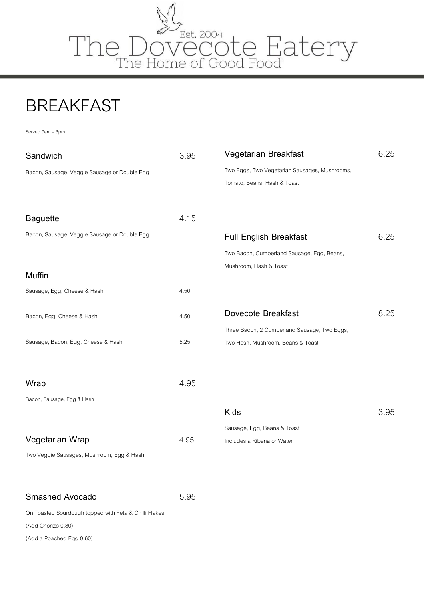

### BREAKFAST

Served 9am –3pm

| Sandwich                                              | 3.95 | Vegetarian Breakfast                                                         | 6.25 |
|-------------------------------------------------------|------|------------------------------------------------------------------------------|------|
| Bacon, Sausage, Veggie Sausage or Double Egg          |      | Two Eggs, Two Vegetarian Sausages, Mushrooms,<br>Tomato, Beans, Hash & Toast |      |
| <b>Baguette</b>                                       | 4.15 |                                                                              |      |
| Bacon, Sausage, Veggie Sausage or Double Egg          |      | <b>Full English Breakfast</b>                                                | 6.25 |
|                                                       |      | Two Bacon, Cumberland Sausage, Egg, Beans,                                   |      |
| <b>Muffin</b>                                         |      | Mushroom, Hash & Toast                                                       |      |
| Sausage, Egg, Cheese & Hash                           | 4.50 |                                                                              |      |
| Bacon, Egg, Cheese & Hash                             | 4.50 | Dovecote Breakfast                                                           | 8.25 |
|                                                       |      | Three Bacon, 2 Cumberland Sausage, Two Eggs,                                 |      |
| Sausage, Bacon, Egg, Cheese & Hash                    | 5.25 | Two Hash, Mushroom, Beans & Toast                                            |      |
| Wrap                                                  | 4.95 |                                                                              |      |
| Bacon, Sausage, Egg & Hash                            |      |                                                                              |      |
|                                                       |      | <b>Kids</b>                                                                  | 3.95 |
|                                                       |      | Sausage, Egg, Beans & Toast                                                  |      |
| Vegetarian Wrap                                       | 4.95 | Includes a Ribena or Water                                                   |      |
| Two Veggie Sausages, Mushroom, Egg & Hash             |      |                                                                              |      |
| <b>Smashed Avocado</b>                                | 5.95 |                                                                              |      |
| On Toasted Sourdough topped with Feta & Chilli Flakes |      |                                                                              |      |
| (Add Chorizo 0.80)                                    |      |                                                                              |      |

(Add a Poached Egg 0.60)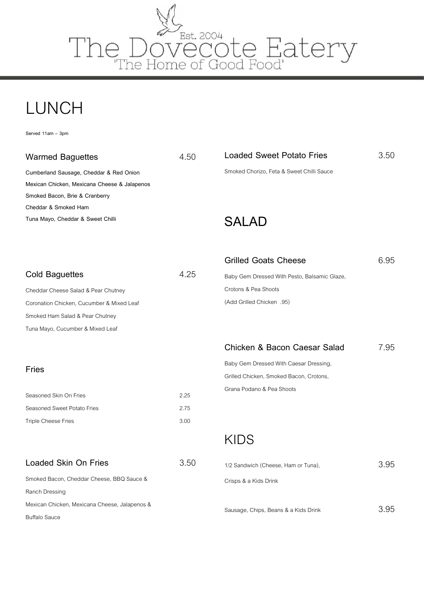

## LUNCH

**Served 11am – 3pm**

| <b>Warmed Baguettes</b> | 4.50 |
|-------------------------|------|
|-------------------------|------|

**Cumberland Sausage, Cheddar & Red Onion Mexican Chicken, Mexicana Cheese & Jalapenos Smoked Bacon, Brie & Cranberry Cheddar & Smoked Ham Tuna Mayo, Cheddar & Sweet Chilli** 

### **Loaded Sweet Potato Fries** 3.50 Smoked Chorizo, Feta & Sweet Chilli Sauce

**SALAD**

| <b>Grilled Goats Cheese</b> | 6.95 |
|-----------------------------|------|
|                             |      |
|                             |      |

| <b>Cold Baguettes</b>                     | 4 25 |
|-------------------------------------------|------|
| Cheddar Cheese Salad & Pear Chutney       |      |
| Coronation Chicken, Cucumber & Mixed Leaf |      |
| Smoked Ham Salad & Pear Chutney           |      |
|                                           |      |

Corona Smoke Tuna Mayo, Cucumber & Mixed Leaf

#### **Fries**

| Seasoned Skin On Fries      | 2.25 |
|-----------------------------|------|
| Seasoned Sweet Potato Fries | 2.75 |
| Triple Cheese Fries         | 3.00 |

#### **Loaded Skin On Fries** 3.50

| Smoked Bacon, Cheddar Cheese, BBQ Sauce &     |
|-----------------------------------------------|
| Ranch Dressing                                |
| Mexican Chicken, Mexicana Cheese, Jalapenos & |
| <b>Buffalo Sauce</b>                          |

Baby Gem Dressed With Pesto, Balsamic Glaze, Crotons & Pea Shoots (Add Grilled Chicken .95)

### **Chicken & Bacon Caesar Salad** 7.95

Baby Gem Dressed With Caesar Dressing, Grilled Chicken, Smoked Bacon, Crotons, Grana Podano & Pea Shoots

### KIDS

| 1/2 Sandwich (Cheese, Ham or Tuna),  | 3.95 |
|--------------------------------------|------|
| Crisps & a Kids Drink                |      |
|                                      |      |
| Sausage, Chips, Beans & a Kids Drink |      |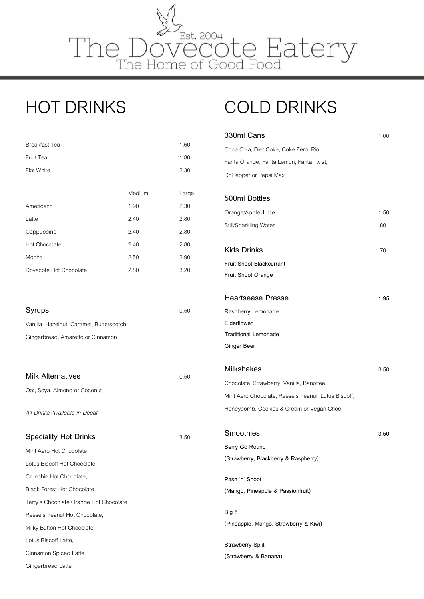

## HOT DRINKS

| <b>Breakfast Tea</b>   |        | 1.60  |
|------------------------|--------|-------|
| Fruit Tea              |        | 1.80  |
| <b>Flat White</b>      |        | 2.30  |
|                        |        |       |
|                        | Medium | Large |
| Americano              | 1.90   | 2.30  |
| Latte                  | 2.40   | 2.80  |
| Cappuccino             | 2.40   | 2.80  |
| Hot Chocolate          | 2.40   | 2.80  |
| Mocha                  | 2.50   | 2.90  |
| Dovecote Hot Chocolate | 2.80   | 3.20  |
|                        |        |       |

| Syrups                                    | 0.50 |
|-------------------------------------------|------|
| Vanilla, Hazelnut, Caramel, Butterscotch, |      |
| Gingerbread, Amaretto or Cinnamon         |      |

| Milk Alternatives            | 0.50 |
|------------------------------|------|
| Oat, Soya, Almond or Coconut |      |

*All Drinks Available in Decaf*

**Speciality Hot Drinks** 3.50

Mint Aero Hot Chocolate Lotus Biscoff Hot Chocolate Crunchie Hot Chocolate, Black Forest Hot Chocolate Terry's Chocolate Orange Hot Chocolate, Reese's Peanut Hot Chocolate, Milky Button Hot Chocolate, Lotus Biscoff Latte, Cinnamon Spiced Latte

Gingerbread Latte

# COLD DRINKS

| 330ml Cans                                          | 1.00 |
|-----------------------------------------------------|------|
| Coca Cola, Diet Coke, Coke Zero, Rio,               |      |
| Fanta Orange, Fanta Lemon, Fanta Twist,             |      |
| Dr Pepper or Pepsi Max                              |      |
| 500ml Bottles                                       |      |
| Orange/Apple Juice                                  | 1.50 |
| Still/Sparkling Water                               | .80  |
| <b>Kids Drinks</b>                                  | .70  |
| <b>Fruit Shoot Blackcurrant</b>                     |      |
| Fruit Shoot Orange                                  |      |
| <b>Heartsease Presse</b>                            | 1.95 |
| Raspberry Lemonade                                  |      |
| Elderflower                                         |      |
| <b>Traditional Lemonade</b>                         |      |
| Ginger Beer                                         |      |
| <b>Milkshakes</b>                                   | 3.50 |
| Chocolate, Strawberry, Vanilla, Banoffee,           |      |
| Mint Aero Chocolate, Reese's Peanut, Lotus Biscoff, |      |
| Honeycomb, Cookies & Cream or Vegan Choc            |      |
| Smoothies                                           | 3.50 |
| Berry Go Round                                      |      |
| (Strawberry, Blackberry & Raspberry)                |      |
| Pash 'n' Shoot                                      |      |
| (Mango, Pineapple & Passionfruit)                   |      |
| Big 5                                               |      |
| (Pineapple, Mango, Strawberry & Kiwi)               |      |
| <b>Strawberry Split</b>                             |      |
| (Strawberry & Banana)                               |      |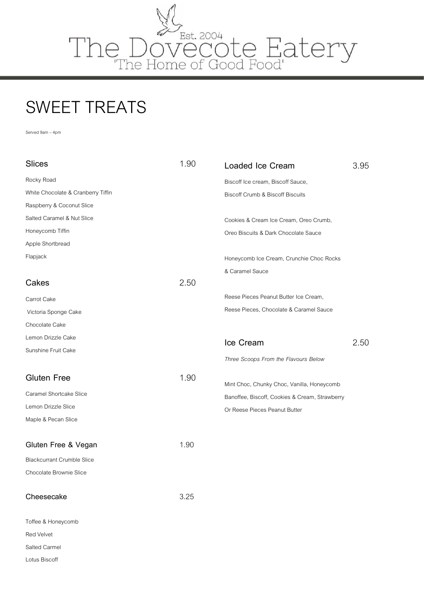

# SWEET TREATS

Served 9am – 4pm

Salted Carmel Lotus Biscoff

| <b>Slices</b>                      | 1.90 | Loaded Ice Cream                               | 3.95 |
|------------------------------------|------|------------------------------------------------|------|
| Rocky Road                         |      | Biscoff Ice cream, Biscoff Sauce,              |      |
| White Chocolate & Cranberry Tiffin |      | <b>Biscoff Crumb &amp; Biscoff Biscuits</b>    |      |
| Raspberry & Coconut Slice          |      |                                                |      |
| Salted Caramel & Nut Slice         |      | Cookies & Cream Ice Cream, Oreo Crumb,         |      |
| Honeycomb Tiffin                   |      | Oreo Biscuits & Dark Chocolate Sauce           |      |
| Apple Shortbread                   |      |                                                |      |
| Flapjack                           |      | Honeycomb Ice Cream, Crunchie Choc Rocks       |      |
|                                    |      | & Caramel Sauce                                |      |
| Cakes                              | 2.50 |                                                |      |
| Carrot Cake                        |      | Reese Pieces Peanut Butter Ice Cream,          |      |
| Victoria Sponge Cake               |      | Reese Pieces, Chocolate & Caramel Sauce        |      |
| Chocolate Cake                     |      |                                                |      |
| Lemon Drizzle Cake                 |      | Ice Cream                                      | 2.50 |
| Sunshine Fruit Cake                |      |                                                |      |
|                                    |      | Three Scoops From the Flavours Below           |      |
| <b>Gluten Free</b>                 | 1.90 | Mint Choc, Chunky Choc, Vanilla, Honeycomb     |      |
| Caramel Shortcake Slice            |      | Banoffee, Biscoff, Cookies & Cream, Strawberry |      |
| Lemon Drizzle Slice                |      | Or Reese Pieces Peanut Butter                  |      |
| Maple & Pecan Slice                |      |                                                |      |
|                                    |      |                                                |      |
| Gluten Free & Vegan                | 1.90 |                                                |      |
| <b>Blackcurrant Crumble Slice</b>  |      |                                                |      |
| Chocolate Brownie Slice            |      |                                                |      |
| Cheesecake                         | 3.25 |                                                |      |
| Toffee & Honeycomb                 |      |                                                |      |
| Red Velvet                         |      |                                                |      |